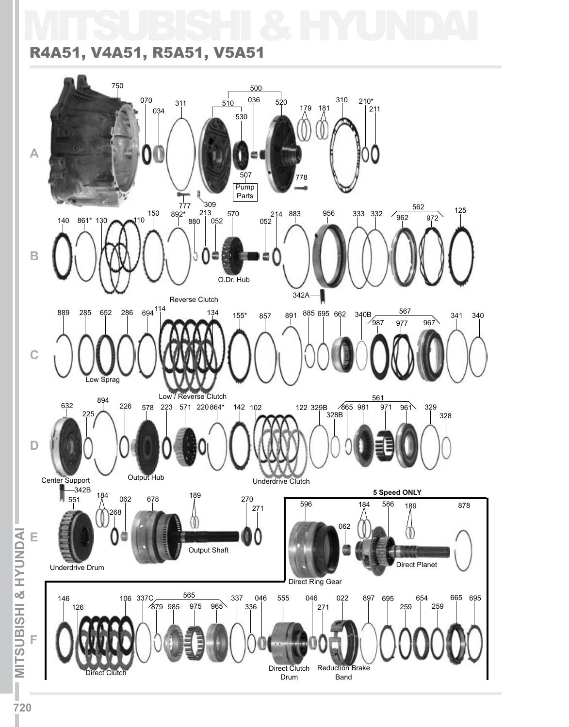# MITSUBISHI & HYUNDAI

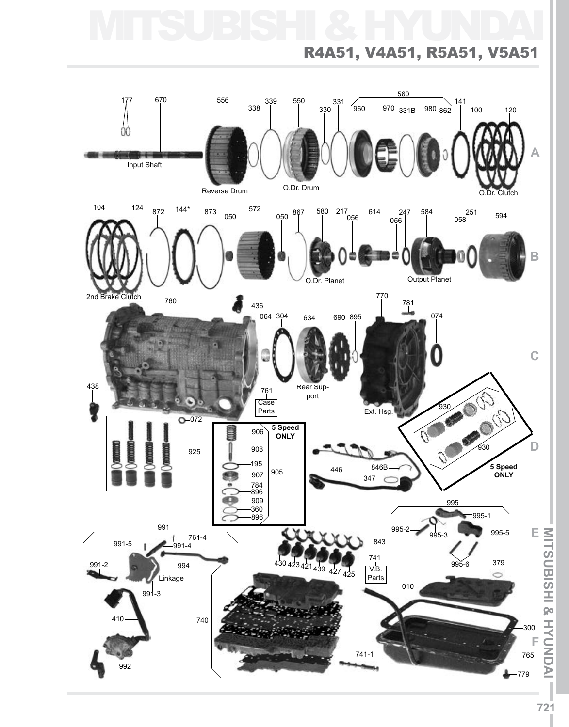# MITSUBISHI & HYUNDAI

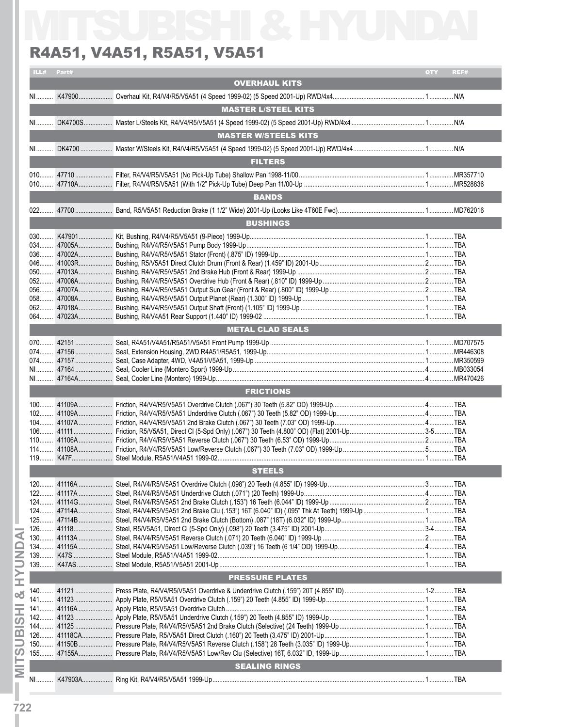|            | R4A51, V4A51, R5A51, V5A51  |     |      |
|------------|-----------------------------|-----|------|
| ILL# Part# |                             | QTY | REF# |
|            | <b>OVERHAUL KITS</b>        |     |      |
|            |                             |     |      |
|            | <b>MASTER L/STEEL KITS</b>  |     |      |
|            |                             |     |      |
|            |                             |     |      |
|            | <b>MASTER W/STEELS KITS</b> |     |      |
|            |                             |     |      |
|            | <b>FILTERS</b>              |     |      |
|            |                             |     |      |
|            |                             |     |      |
|            | <b>BANDS</b>                |     |      |
|            |                             |     |      |
|            |                             |     |      |
|            | <b>BUSHINGS</b>             |     |      |
|            |                             |     |      |
|            |                             |     |      |
|            |                             |     |      |
|            |                             |     |      |
|            |                             |     |      |
|            |                             |     |      |
|            |                             |     |      |
|            |                             |     |      |
|            |                             |     |      |
|            | <b>METAL CLAD SEALS</b>     |     |      |
|            |                             |     |      |
|            |                             |     |      |
|            |                             |     |      |
|            |                             |     |      |
|            |                             |     |      |
|            | <b>FRICTIONS</b>            |     |      |
|            |                             |     |      |
|            |                             |     |      |
|            |                             |     |      |
|            |                             |     |      |
|            |                             |     |      |
|            |                             |     |      |
|            | <b>STEELS</b>               |     |      |
|            |                             |     |      |
|            |                             |     |      |
|            |                             |     |      |
|            |                             |     |      |
|            |                             |     |      |
|            |                             |     |      |
|            |                             |     |      |
|            |                             |     |      |
|            |                             |     |      |
|            | <b>PRESSURE PLATES</b>      |     |      |
|            |                             |     |      |
|            |                             |     |      |
|            |                             |     |      |
|            |                             |     |      |
|            |                             |     |      |
|            |                             |     |      |
|            |                             |     |      |
|            |                             |     |      |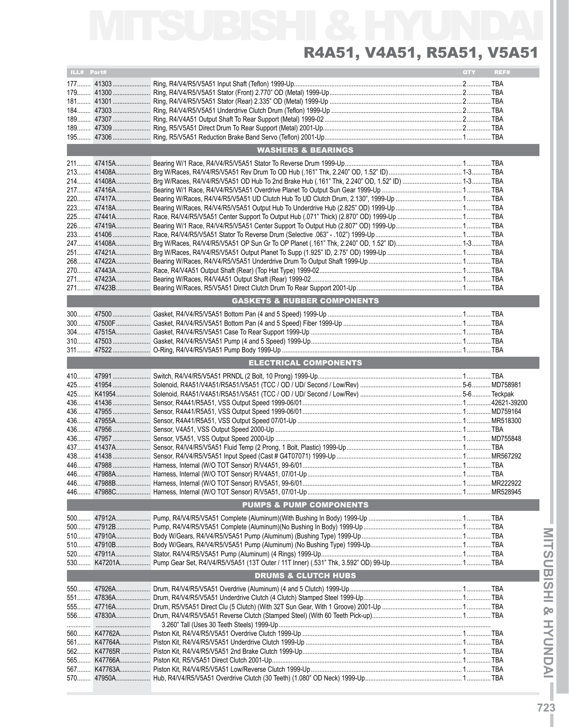MITSUBISHI & HYUNDAI R4A51, V4A51, R5A51, V5A51

| ILL# Part# |                                        | QTY | REF# |
|------------|----------------------------------------|-----|------|
|            |                                        |     |      |
|            |                                        |     |      |
|            |                                        |     |      |
|            |                                        |     |      |
|            |                                        |     |      |
|            |                                        |     |      |
|            |                                        |     |      |
|            | <b>WASHERS &amp; BEARINGS</b>          |     |      |
|            |                                        |     |      |
|            |                                        |     |      |
|            |                                        |     |      |
|            |                                        |     |      |
|            |                                        |     |      |
|            |                                        |     |      |
|            |                                        |     |      |
|            |                                        |     |      |
|            |                                        |     |      |
|            |                                        |     |      |
|            |                                        |     |      |
|            |                                        |     |      |
|            |                                        |     |      |
|            |                                        |     |      |
|            |                                        |     |      |
|            | <b>GASKETS &amp; RUBBER COMPONENTS</b> |     |      |
|            |                                        |     |      |
|            |                                        |     |      |
|            |                                        |     |      |
|            |                                        |     |      |
|            |                                        |     |      |
|            | <b>ELECTRICAL COMPONENTS</b>           |     |      |
|            |                                        |     |      |
|            |                                        |     |      |
|            |                                        |     |      |
|            |                                        |     |      |
|            |                                        |     |      |
|            |                                        |     |      |
|            |                                        |     |      |
|            |                                        |     |      |
|            |                                        |     |      |
|            |                                        |     |      |
|            |                                        |     |      |
|            |                                        |     |      |
|            |                                        |     |      |
|            |                                        |     |      |
| 446.       |                                        |     |      |
|            | <b>PUMPS &amp; PUMP COMPONENTS</b>     |     |      |
|            |                                        |     |      |
|            |                                        |     |      |
|            |                                        |     |      |
|            |                                        |     |      |
|            |                                        |     |      |
|            |                                        |     |      |
|            |                                        |     |      |
|            | <b>DRUMS &amp; CLUTCH HUBS</b>         |     |      |
|            |                                        |     |      |
|            |                                        |     |      |
|            |                                        |     |      |
|            |                                        |     |      |
|            |                                        |     |      |
|            |                                        |     |      |
|            |                                        |     |      |
|            |                                        |     |      |
|            |                                        |     |      |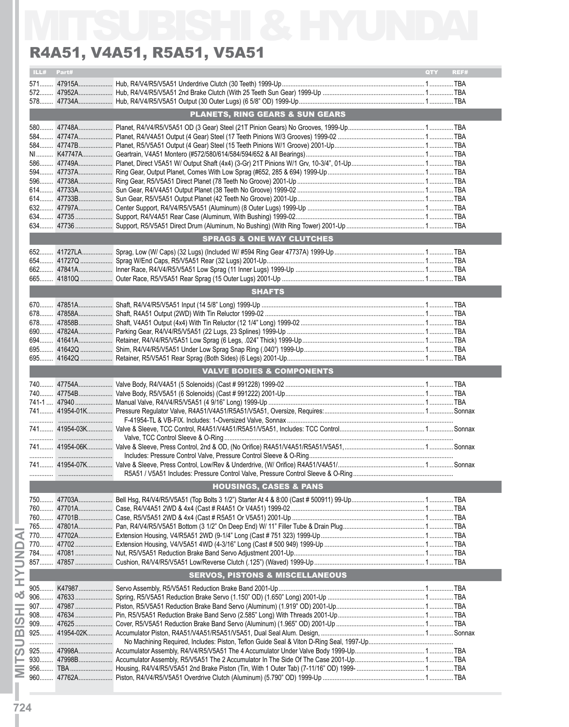|       |            | R4A51, V4A51, R5A51, V5A51                 |                    |
|-------|------------|--------------------------------------------|--------------------|
|       | ILL# Part# |                                            | <b>QTY</b><br>REF# |
|       |            |                                            |                    |
|       |            |                                            |                    |
|       |            |                                            |                    |
|       |            | <b>PLANETS, RING GEARS &amp; SUN GEARS</b> |                    |
|       |            |                                            |                    |
|       |            |                                            |                    |
|       |            |                                            |                    |
|       |            |                                            |                    |
|       |            |                                            |                    |
|       |            |                                            |                    |
|       |            |                                            |                    |
|       |            |                                            |                    |
|       |            |                                            |                    |
|       |            |                                            |                    |
|       |            |                                            |                    |
|       |            |                                            |                    |
|       |            | <b>SPRAGS &amp; ONE WAY CLUTCHES</b>       |                    |
|       |            |                                            |                    |
|       |            |                                            |                    |
|       |            |                                            |                    |
|       |            |                                            |                    |
|       |            | <b>SHAFTS</b>                              |                    |
|       |            |                                            |                    |
|       |            |                                            |                    |
|       |            |                                            |                    |
|       |            |                                            |                    |
|       |            |                                            |                    |
|       |            |                                            |                    |
|       |            |                                            |                    |
|       |            | <b>VALVE BODIES &amp; COMPONENTS</b>       |                    |
|       |            |                                            |                    |
|       |            |                                            |                    |
|       |            |                                            |                    |
|       |            |                                            |                    |
|       |            |                                            |                    |
|       |            |                                            |                    |
|       |            |                                            |                    |
|       |            |                                            |                    |
|       |            |                                            |                    |
|       |            |                                            |                    |
|       |            | <b>HOUSINGS, CASES &amp; PANS</b>          |                    |
|       |            |                                            |                    |
|       |            |                                            |                    |
|       |            |                                            |                    |
|       |            |                                            |                    |
|       |            |                                            |                    |
|       |            |                                            |                    |
|       |            |                                            |                    |
|       |            |                                            |                    |
|       |            | <b>SERVOS, PISTONS &amp; MISCELLANEOUS</b> |                    |
|       |            |                                            |                    |
|       |            |                                            |                    |
|       |            |                                            |                    |
|       |            |                                            |                    |
|       |            |                                            |                    |
| $925$ |            |                                            |                    |
|       |            |                                            |                    |
|       |            |                                            |                    |
|       |            |                                            |                    |
|       |            |                                            |                    |